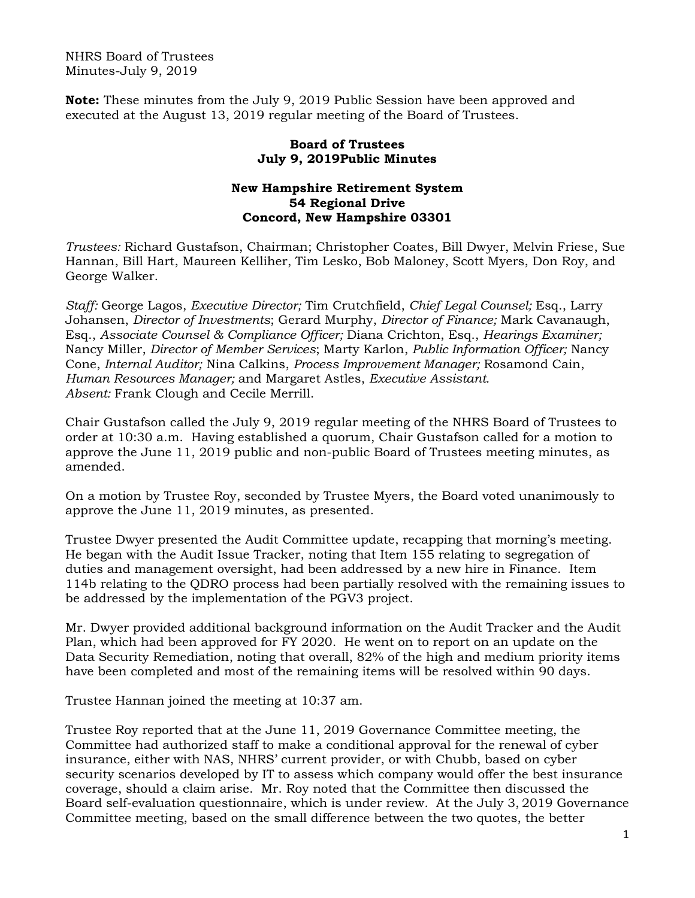NHRS Board of Trustees Minutes-July 9, 2019

**Note:** These minutes from the July 9, 2019 Public Session have been approved and executed at the August 13, 2019 regular meeting of the Board of Trustees.

## **Board of Trustees July 9, 2019Public Minutes**

## **New Hampshire Retirement System 54 Regional Drive Concord, New Hampshire 03301**

*Trustees:* Richard Gustafson, Chairman; Christopher Coates, Bill Dwyer, Melvin Friese, Sue Hannan, Bill Hart, Maureen Kelliher, Tim Lesko, Bob Maloney, Scott Myers, Don Roy, and George Walker.

*Staff:* George Lagos, *Executive Director;* Tim Crutchfield, *Chief Legal Counsel;* Esq., Larry Johansen, *Director of Investments*; Gerard Murphy, *Director of Finance;* Mark Cavanaugh, Esq., *Associate Counsel & Compliance Officer;* Diana Crichton, Esq., *Hearings Examiner;* Nancy Miller, *Director of Member Services*; Marty Karlon, *Public Information Officer;* Nancy Cone, *Internal Auditor;* Nina Calkins, *Process Improvement Manager;* Rosamond Cain, *Human Resources Manager;* and Margaret Astles, *Executive Assistant. Absent:* Frank Clough and Cecile Merrill.

Chair Gustafson called the July 9, 2019 regular meeting of the NHRS Board of Trustees to order at 10:30 a.m. Having established a quorum, Chair Gustafson called for a motion to approve the June 11, 2019 public and non-public Board of Trustees meeting minutes, as amended.

On a motion by Trustee Roy, seconded by Trustee Myers, the Board voted unanimously to approve the June 11, 2019 minutes, as presented.

Trustee Dwyer presented the Audit Committee update, recapping that morning's meeting. He began with the Audit Issue Tracker, noting that Item 155 relating to segregation of duties and management oversight, had been addressed by a new hire in Finance. Item 114b relating to the QDRO process had been partially resolved with the remaining issues to be addressed by the implementation of the PGV3 project.

Mr. Dwyer provided additional background information on the Audit Tracker and the Audit Plan, which had been approved for FY 2020. He went on to report on an update on the Data Security Remediation, noting that overall, 82% of the high and medium priority items have been completed and most of the remaining items will be resolved within 90 days.

Trustee Hannan joined the meeting at 10:37 am.

Trustee Roy reported that at the June 11, 2019 Governance Committee meeting, the Committee had authorized staff to make a conditional approval for the renewal of cyber insurance, either with NAS, NHRS' current provider, or with Chubb, based on cyber security scenarios developed by IT to assess which company would offer the best insurance coverage, should a claim arise. Mr. Roy noted that the Committee then discussed the Board self-evaluation questionnaire, which is under review. At the July 3, 2019 Governance Committee meeting, based on the small difference between the two quotes, the better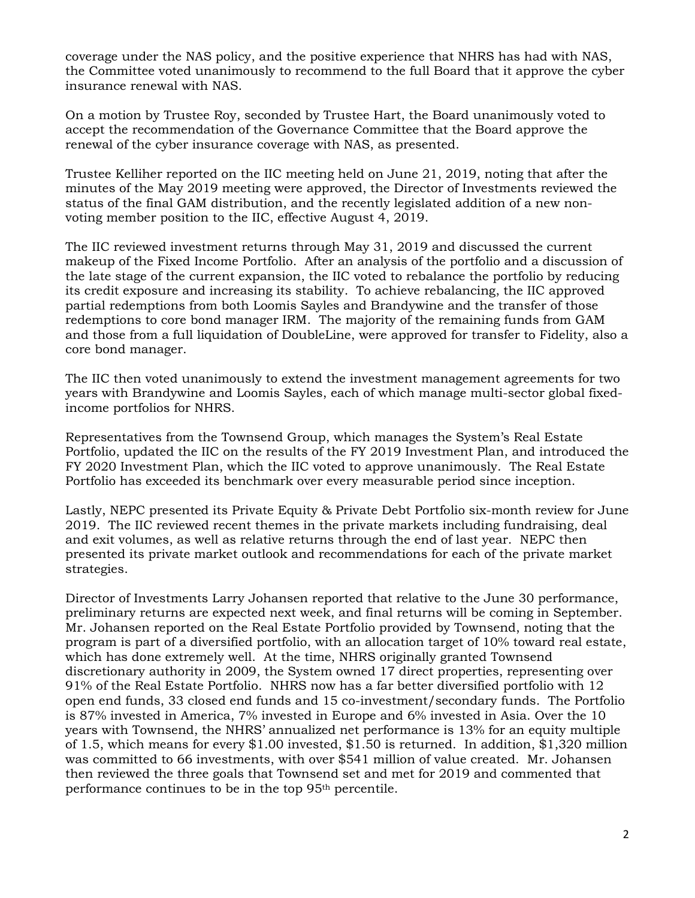coverage under the NAS policy, and the positive experience that NHRS has had with NAS, the Committee voted unanimously to recommend to the full Board that it approve the cyber insurance renewal with NAS.

On a motion by Trustee Roy, seconded by Trustee Hart, the Board unanimously voted to accept the recommendation of the Governance Committee that the Board approve the renewal of the cyber insurance coverage with NAS, as presented.

Trustee Kelliher reported on the IIC meeting held on June 21, 2019, noting that after the minutes of the May 2019 meeting were approved, the Director of Investments reviewed the status of the final GAM distribution, and the recently legislated addition of a new nonvoting member position to the IIC, effective August 4, 2019.

The IIC reviewed investment returns through May 31, 2019 and discussed the current makeup of the Fixed Income Portfolio. After an analysis of the portfolio and a discussion of the late stage of the current expansion, the IIC voted to rebalance the portfolio by reducing its credit exposure and increasing its stability. To achieve rebalancing, the IIC approved partial redemptions from both Loomis Sayles and Brandywine and the transfer of those redemptions to core bond manager IRM. The majority of the remaining funds from GAM and those from a full liquidation of DoubleLine, were approved for transfer to Fidelity, also a core bond manager.

The IIC then voted unanimously to extend the investment management agreements for two years with Brandywine and Loomis Sayles, each of which manage multi-sector global fixedincome portfolios for NHRS.

Representatives from the Townsend Group, which manages the System's Real Estate Portfolio, updated the IIC on the results of the FY 2019 Investment Plan, and introduced the FY 2020 Investment Plan, which the IIC voted to approve unanimously. The Real Estate Portfolio has exceeded its benchmark over every measurable period since inception.

Lastly, NEPC presented its Private Equity & Private Debt Portfolio six-month review for June 2019. The IIC reviewed recent themes in the private markets including fundraising, deal and exit volumes, as well as relative returns through the end of last year. NEPC then presented its private market outlook and recommendations for each of the private market strategies.

Director of Investments Larry Johansen reported that relative to the June 30 performance, preliminary returns are expected next week, and final returns will be coming in September. Mr. Johansen reported on the Real Estate Portfolio provided by Townsend, noting that the program is part of a diversified portfolio, with an allocation target of 10% toward real estate, which has done extremely well. At the time, NHRS originally granted Townsend discretionary authority in 2009, the System owned 17 direct properties, representing over 91% of the Real Estate Portfolio. NHRS now has a far better diversified portfolio with 12 open end funds, 33 closed end funds and 15 co-investment/secondary funds. The Portfolio is 87% invested in America, 7% invested in Europe and 6% invested in Asia. Over the 10 years with Townsend, the NHRS' annualized net performance is 13% for an equity multiple of 1.5, which means for every \$1.00 invested, \$1.50 is returned. In addition, \$1,320 million was committed to 66 investments, with over \$541 million of value created. Mr. Johansen then reviewed the three goals that Townsend set and met for 2019 and commented that performance continues to be in the top 95th percentile.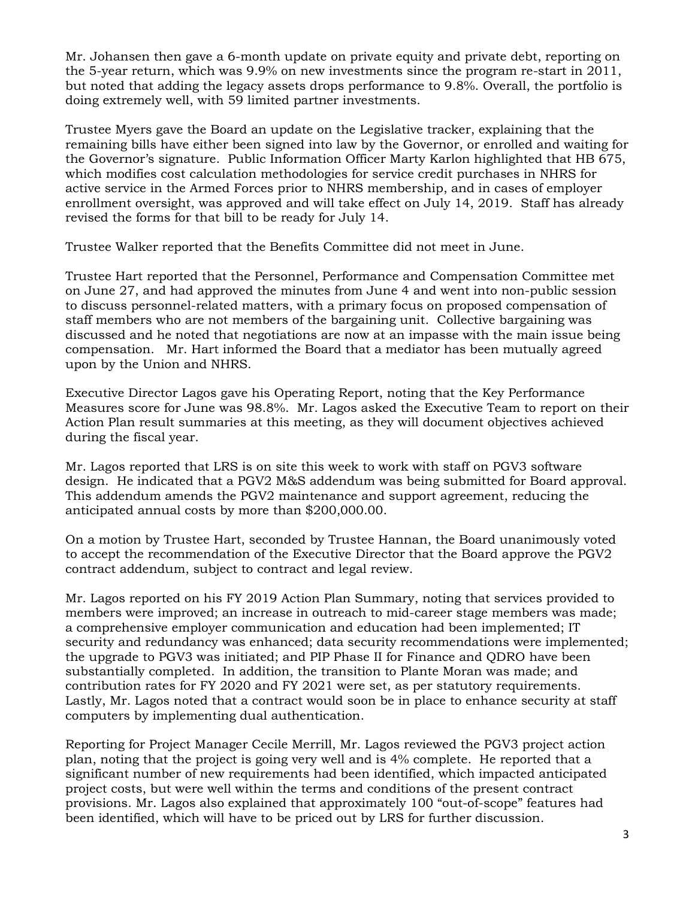Mr. Johansen then gave a 6-month update on private equity and private debt, reporting on the 5-year return, which was 9.9% on new investments since the program re-start in 2011, but noted that adding the legacy assets drops performance to 9.8%. Overall, the portfolio is doing extremely well, with 59 limited partner investments.

Trustee Myers gave the Board an update on the Legislative tracker, explaining that the remaining bills have either been signed into law by the Governor, or enrolled and waiting for the Governor's signature. Public Information Officer Marty Karlon highlighted that HB 675, which modifies cost calculation methodologies for service credit purchases in NHRS for active service in the Armed Forces prior to NHRS membership, and in cases of employer enrollment oversight, was approved and will take effect on July 14, 2019. Staff has already revised the forms for that bill to be ready for July 14.

Trustee Walker reported that the Benefits Committee did not meet in June.

Trustee Hart reported that the Personnel, Performance and Compensation Committee met on June 27, and had approved the minutes from June 4 and went into non-public session to discuss personnel-related matters, with a primary focus on proposed compensation of staff members who are not members of the bargaining unit. Collective bargaining was discussed and he noted that negotiations are now at an impasse with the main issue being compensation. Mr. Hart informed the Board that a mediator has been mutually agreed upon by the Union and NHRS.

Executive Director Lagos gave his Operating Report, noting that the Key Performance Measures score for June was 98.8%. Mr. Lagos asked the Executive Team to report on their Action Plan result summaries at this meeting, as they will document objectives achieved during the fiscal year.

Mr. Lagos reported that LRS is on site this week to work with staff on PGV3 software design. He indicated that a PGV2 M&S addendum was being submitted for Board approval. This addendum amends the PGV2 maintenance and support agreement, reducing the anticipated annual costs by more than \$200,000.00.

On a motion by Trustee Hart, seconded by Trustee Hannan, the Board unanimously voted to accept the recommendation of the Executive Director that the Board approve the PGV2 contract addendum, subject to contract and legal review.

Mr. Lagos reported on his FY 2019 Action Plan Summary, noting that services provided to members were improved; an increase in outreach to mid-career stage members was made; a comprehensive employer communication and education had been implemented; IT security and redundancy was enhanced; data security recommendations were implemented; the upgrade to PGV3 was initiated; and PIP Phase II for Finance and QDRO have been substantially completed. In addition, the transition to Plante Moran was made; and contribution rates for FY 2020 and FY 2021 were set, as per statutory requirements. Lastly, Mr. Lagos noted that a contract would soon be in place to enhance security at staff computers by implementing dual authentication.

Reporting for Project Manager Cecile Merrill, Mr. Lagos reviewed the PGV3 project action plan, noting that the project is going very well and is 4% complete. He reported that a significant number of new requirements had been identified, which impacted anticipated project costs, but were well within the terms and conditions of the present contract provisions. Mr. Lagos also explained that approximately 100 "out-of-scope" features had been identified, which will have to be priced out by LRS for further discussion.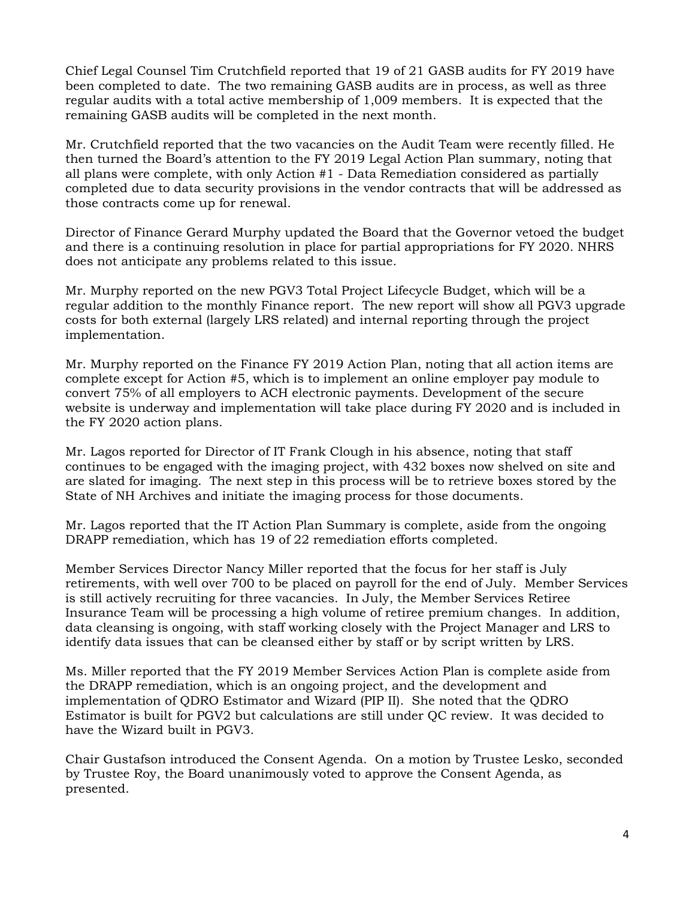Chief Legal Counsel Tim Crutchfield reported that 19 of 21 GASB audits for FY 2019 have been completed to date. The two remaining GASB audits are in process, as well as three regular audits with a total active membership of 1,009 members. It is expected that the remaining GASB audits will be completed in the next month.

Mr. Crutchfield reported that the two vacancies on the Audit Team were recently filled. He then turned the Board's attention to the FY 2019 Legal Action Plan summary, noting that all plans were complete, with only Action #1 - Data Remediation considered as partially completed due to data security provisions in the vendor contracts that will be addressed as those contracts come up for renewal.

Director of Finance Gerard Murphy updated the Board that the Governor vetoed the budget and there is a continuing resolution in place for partial appropriations for FY 2020. NHRS does not anticipate any problems related to this issue.

Mr. Murphy reported on the new PGV3 Total Project Lifecycle Budget, which will be a regular addition to the monthly Finance report. The new report will show all PGV3 upgrade costs for both external (largely LRS related) and internal reporting through the project implementation.

Mr. Murphy reported on the Finance FY 2019 Action Plan, noting that all action items are complete except for Action #5, which is to implement an online employer pay module to convert 75% of all employers to ACH electronic payments. Development of the secure website is underway and implementation will take place during FY 2020 and is included in the FY 2020 action plans.

Mr. Lagos reported for Director of IT Frank Clough in his absence, noting that staff continues to be engaged with the imaging project, with 432 boxes now shelved on site and are slated for imaging. The next step in this process will be to retrieve boxes stored by the State of NH Archives and initiate the imaging process for those documents.

Mr. Lagos reported that the IT Action Plan Summary is complete, aside from the ongoing DRAPP remediation, which has 19 of 22 remediation efforts completed.

Member Services Director Nancy Miller reported that the focus for her staff is July retirements, with well over 700 to be placed on payroll for the end of July. Member Services is still actively recruiting for three vacancies. In July, the Member Services Retiree Insurance Team will be processing a high volume of retiree premium changes. In addition, data cleansing is ongoing, with staff working closely with the Project Manager and LRS to identify data issues that can be cleansed either by staff or by script written by LRS.

Ms. Miller reported that the FY 2019 Member Services Action Plan is complete aside from the DRAPP remediation, which is an ongoing project, and the development and implementation of QDRO Estimator and Wizard (PIP II). She noted that the QDRO Estimator is built for PGV2 but calculations are still under QC review. It was decided to have the Wizard built in PGV3.

Chair Gustafson introduced the Consent Agenda. On a motion by Trustee Lesko, seconded by Trustee Roy, the Board unanimously voted to approve the Consent Agenda, as presented.